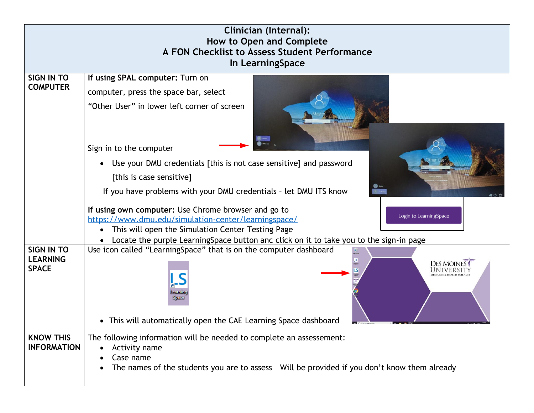| <b>Clinician (Internal):</b><br>How to Open and Complete<br>A FON Checklist to Assess Student Performance<br>In LearningSpace |                                                                                                                                                                                                                                                                                                                                                           |  |  |  |
|-------------------------------------------------------------------------------------------------------------------------------|-----------------------------------------------------------------------------------------------------------------------------------------------------------------------------------------------------------------------------------------------------------------------------------------------------------------------------------------------------------|--|--|--|
| <b>SIGN IN TO</b><br><b>COMPUTER</b>                                                                                          | If using SPAL computer: Turn on<br>computer, press the space bar, select<br>"Other User" in lower left corner of screen<br>Sign in to the computer<br>Use your DMU credentials [this is not case sensitive] and password<br>[this is case sensitive]                                                                                                      |  |  |  |
|                                                                                                                               | If you have problems with your DMU credentials - let DMU ITS know<br>If using own computer: Use Chrome browser and go to<br>Login to LearningSpace<br>https://www.dmu.edu/simulation-center/learningspace/<br>This will open the Simulation Center Testing Page<br>Locate the purple LearningSpace button anc click on it to take you to the sign-in page |  |  |  |
| <b>SIGN IN TO</b><br><b>LEARNING</b><br><b>SPACE</b>                                                                          | Use icon called "LearningSpace" that is on the computer dashboard<br><b>DES MOINES</b><br>earmin<br>Space<br>• This will automatically open the CAE Learning Space dashboard                                                                                                                                                                              |  |  |  |
| <b>KNOW THIS</b><br><b>INFORMATION</b>                                                                                        | The following information will be needed to complete an assessement:<br>Activity name<br>Case name<br>The names of the students you are to assess - Will be provided if you don't know them already                                                                                                                                                       |  |  |  |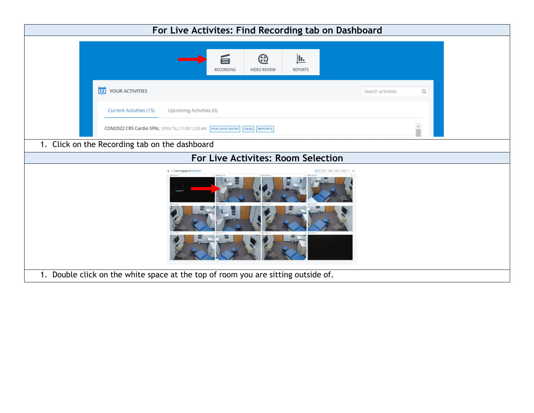| For Live Activites: Find Recording tab on Dashboard                                       |                        |  |  |  |  |
|-------------------------------------------------------------------------------------------|------------------------|--|--|--|--|
| ⊛<br><u>lu.</u><br><b>RECORDING</b><br><b>VIDEO REVIEW</b><br><b>REPORTS</b>              |                        |  |  |  |  |
| 12 YOUR ACTIVITIES                                                                        | Search activities<br>Q |  |  |  |  |
| Current Activities (15)<br>Upcoming Activities (0)                                        |                        |  |  |  |  |
| COM2022 CRS Cardio SPAL OPEN TILL 11/28 12:00 AM FON DATA ENTRY<br><b>REPORTS</b><br>OEQS |                        |  |  |  |  |
| 1. Click on the Recording tab on the dashboard                                            |                        |  |  |  |  |
| For Live Activites: Room Selection                                                        |                        |  |  |  |  |
| « CAI LearningSpaceEnterprise<br>$0$   & Plustic<br>0 B Phant<br>0.871                    |                        |  |  |  |  |
| 1. Double click on the white space at the top of room you are sitting outside of.         |                        |  |  |  |  |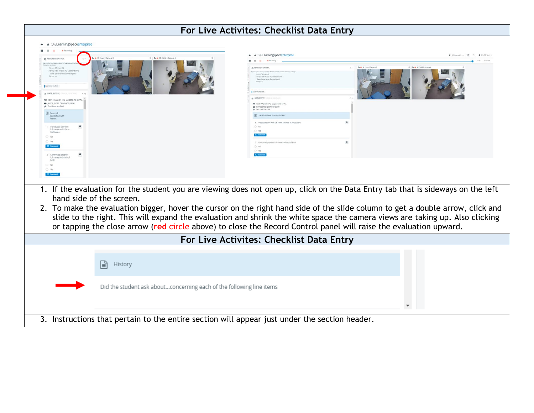|                                                                                                                                                                                                                                                                                                                                                                                                                                                                                                                                                    | For Live Activites: Checklist Data Entry                                                     |                                |
|----------------------------------------------------------------------------------------------------------------------------------------------------------------------------------------------------------------------------------------------------------------------------------------------------------------------------------------------------------------------------------------------------------------------------------------------------------------------------------------------------------------------------------------------------|----------------------------------------------------------------------------------------------|--------------------------------|
| * * CAELearningSpaceEnterprise                                                                                                                                                                                                                                                                                                                                                                                                                                                                                                                     |                                                                                              |                                |
| <b>a</b> Recording<br>$\mathbb{R}$<br>$\blacksquare$                                                                                                                                                                                                                                                                                                                                                                                                                                                                                               |                                                                                              |                                |
| a. SF Fram 2 Camera II<br>0 B. B (P EXAM 2 Camera A<br><b>@ RECORD CONTROL</b>                                                                                                                                                                                                                                                                                                                                                                                                                                                                     | * * CAELearningSpaceEnterprise                                                               | [ SPENNNO2 + 円 ? 1 CHOR Text * |
|                                                                                                                                                                                                                                                                                                                                                                                                                                                                                                                                                    | 11 11<br><b>B</b> Recording                                                                  |                                |
| Room: SP Exam 02<br>Activity: Test PA2021 PD Capstone SPAL<br>Case: Jenna Jones (Stomach paid                                                                                                                                                                                                                                                                                                                                                                                                                                                      | B. @ 5P Exam 2 Carro<br><b>@ RECORD CONTROL</b><br>Reserving these been practed to           | O B & SPERMIZE                 |
| Group:                                                                                                                                                                                                                                                                                                                                                                                                                                                                                                                                             | Room, SP Exam 02<br>Activity: Test 842021 PD Captone SPA<br>Case: Jerma Jones (Stomach pain) |                                |
| Learner244, Test                                                                                                                                                                                                                                                                                                                                                                                                                                                                                                                                   |                                                                                              |                                |
| <b>GP DATA ENTRY</b>                                                                                                                                                                                                                                                                                                                                                                                                                                                                                                                               | Learnecles, fest                                                                             |                                |
| [7] Test PA2021 PD Capstone SPAL                                                                                                                                                                                                                                                                                                                                                                                                                                                                                                                   | SP DATA ENTRY                                                                                |                                |
| lenna Jones (Stomach pain)<br>Test Learner244                                                                                                                                                                                                                                                                                                                                                                                                                                                                                                      | <b>NE</b> Test PA2021 PD Capstone SPAL<br>Henna Jones (Stomach pain)                         |                                |
| <b>Personal</b>                                                                                                                                                                                                                                                                                                                                                                                                                                                                                                                                    | # Test Learner244<br><b>En</b> Personal Interaction with Patient                             |                                |
| Interaction with<br>Patient                                                                                                                                                                                                                                                                                                                                                                                                                                                                                                                        | 1. Introduced self with full name and title as PA Studes                                     |                                |
| 1. Introduced self with<br>full name and title as                                                                                                                                                                                                                                                                                                                                                                                                                                                                                                  | $O$ No:                                                                                      |                                |
| PA Student<br>O No                                                                                                                                                                                                                                                                                                                                                                                                                                                                                                                                 | O Yes<br>C Comment                                                                           |                                |
| O Yes                                                                                                                                                                                                                                                                                                                                                                                                                                                                                                                                              | $\,$ 0<br>2. Confirmed patient's full name and date of birth                                 |                                |
| C Comment                                                                                                                                                                                                                                                                                                                                                                                                                                                                                                                                          | $\bigcap$ No.<br>O Yes                                                                       |                                |
| 2. Confirmed patient's<br>full name and date of                                                                                                                                                                                                                                                                                                                                                                                                                                                                                                    | O Commer                                                                                     |                                |
| birth<br>O No                                                                                                                                                                                                                                                                                                                                                                                                                                                                                                                                      |                                                                                              |                                |
| $O$ Yes                                                                                                                                                                                                                                                                                                                                                                                                                                                                                                                                            |                                                                                              |                                |
| C Comment                                                                                                                                                                                                                                                                                                                                                                                                                                                                                                                                          |                                                                                              |                                |
|                                                                                                                                                                                                                                                                                                                                                                                                                                                                                                                                                    |                                                                                              |                                |
| 1. If the evaluation for the student you are viewing does not open up, click on the Data Entry tab that is sideways on the left<br>hand side of the screen.<br>2. To make the evaluation bigger, hover the cursor on the right hand side of the slide column to get a double arrow, click and<br>slide to the right. This will expand the evaluation and shrink the white space the camera views are taking up. Also clicking<br>or tapping the close arrow (red circle above) to close the Record Control panel will raise the evaluation upward. |                                                                                              |                                |
|                                                                                                                                                                                                                                                                                                                                                                                                                                                                                                                                                    | For Live Activites: Checklist Data Entry                                                     |                                |
| 旧<br>History                                                                                                                                                                                                                                                                                                                                                                                                                                                                                                                                       |                                                                                              |                                |
| Did the student ask aboutconcerning each of the following line items                                                                                                                                                                                                                                                                                                                                                                                                                                                                               |                                                                                              |                                |
|                                                                                                                                                                                                                                                                                                                                                                                                                                                                                                                                                    |                                                                                              |                                |
|                                                                                                                                                                                                                                                                                                                                                                                                                                                                                                                                                    |                                                                                              | $\overline{\phantom{a}}$       |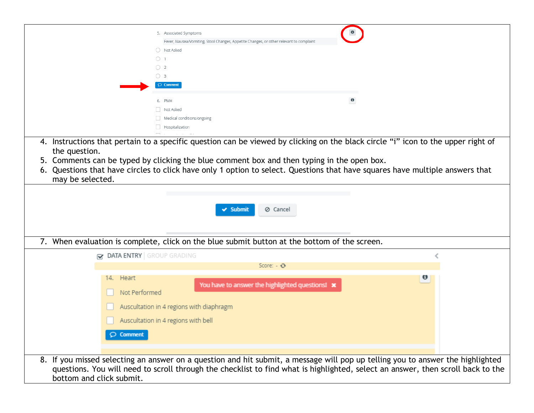|                                                                                                                                                                                                                                                                                               | $\pmb{0}$<br>5. Associated Symptoms                                                                                                                                                                                                                     |  |  |  |  |
|-----------------------------------------------------------------------------------------------------------------------------------------------------------------------------------------------------------------------------------------------------------------------------------------------|---------------------------------------------------------------------------------------------------------------------------------------------------------------------------------------------------------------------------------------------------------|--|--|--|--|
|                                                                                                                                                                                                                                                                                               | Fever, Nausea/Vomiting, Stool Changes, Appetite Changes, or other relevant to complaint                                                                                                                                                                 |  |  |  |  |
|                                                                                                                                                                                                                                                                                               | O Not Asked                                                                                                                                                                                                                                             |  |  |  |  |
|                                                                                                                                                                                                                                                                                               | $\circ$ 1                                                                                                                                                                                                                                               |  |  |  |  |
|                                                                                                                                                                                                                                                                                               | $\bigcirc$ 2                                                                                                                                                                                                                                            |  |  |  |  |
|                                                                                                                                                                                                                                                                                               | $\bigcirc$ 3                                                                                                                                                                                                                                            |  |  |  |  |
|                                                                                                                                                                                                                                                                                               | $\circledcirc$ Comment                                                                                                                                                                                                                                  |  |  |  |  |
|                                                                                                                                                                                                                                                                                               | $\bullet$<br>6. PMH                                                                                                                                                                                                                                     |  |  |  |  |
|                                                                                                                                                                                                                                                                                               | Not Asked                                                                                                                                                                                                                                               |  |  |  |  |
|                                                                                                                                                                                                                                                                                               | Medical conditions/ongoing                                                                                                                                                                                                                              |  |  |  |  |
|                                                                                                                                                                                                                                                                                               | Hospitalization                                                                                                                                                                                                                                         |  |  |  |  |
| may be selected.                                                                                                                                                                                                                                                                              | 5. Comments can be typed by clicking the blue comment box and then typing in the open box.<br>6. Questions that have circles to click have only 1 option to select. Questions that have squares have multiple answers that<br>⊘ Cancel<br>$\vee$ Submit |  |  |  |  |
| 7. When evaluation is complete, click on the blue submit button at the bottom of the screen.                                                                                                                                                                                                  |                                                                                                                                                                                                                                                         |  |  |  |  |
| <b>&amp; DATA ENTRY</b> GROUP GRADING                                                                                                                                                                                                                                                         |                                                                                                                                                                                                                                                         |  |  |  |  |
|                                                                                                                                                                                                                                                                                               | Score: $ \odot$                                                                                                                                                                                                                                         |  |  |  |  |
| 14. Heart<br>Not Performed                                                                                                                                                                                                                                                                    | $\boldsymbol{\sigma}$<br>You have to answer the highlighted questions! *                                                                                                                                                                                |  |  |  |  |
|                                                                                                                                                                                                                                                                                               | Auscultation in 4 regions with diaphragm                                                                                                                                                                                                                |  |  |  |  |
|                                                                                                                                                                                                                                                                                               | Auscultation in 4 regions with bell                                                                                                                                                                                                                     |  |  |  |  |
| $\circlearrowright$ Comment                                                                                                                                                                                                                                                                   |                                                                                                                                                                                                                                                         |  |  |  |  |
|                                                                                                                                                                                                                                                                                               |                                                                                                                                                                                                                                                         |  |  |  |  |
| 8. If you missed selecting an answer on a question and hit submit, a message will pop up telling you to answer the highlighted<br>questions. You will need to scroll through the checklist to find what is highlighted, select an answer, then scroll back to the<br>bottom and click submit. |                                                                                                                                                                                                                                                         |  |  |  |  |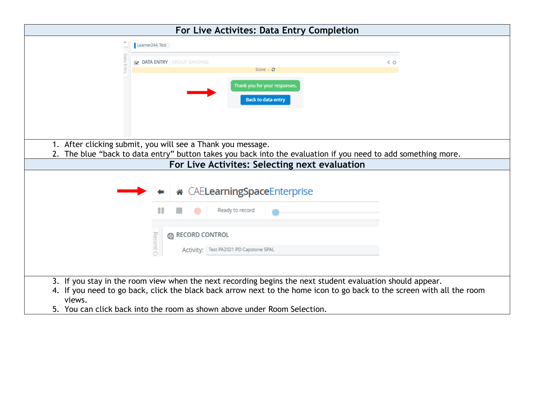